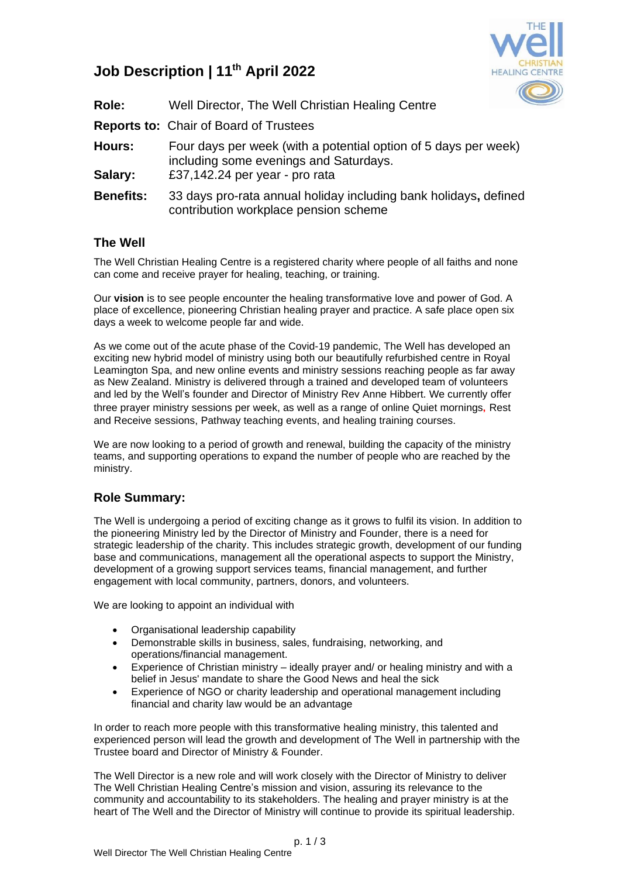

# **Job Description | 11th April 2022**

| Role:             | Well Director, The Well Christian Healing Centre                                                                                            |
|-------------------|---------------------------------------------------------------------------------------------------------------------------------------------|
|                   | <b>Reports to: Chair of Board of Trustees</b>                                                                                               |
| Hours:<br>Salary: | Four days per week (with a potential option of 5 days per week)<br>including some evenings and Saturdays.<br>£37,142.24 per year - pro rata |
| <b>Benefits:</b>  | 33 days pro-rata annual holiday including bank holidays, defined<br>contribution workplace pension scheme                                   |

# **The Well**

The Well Christian Healing Centre is a registered charity where people of all faiths and none can come and receive prayer for healing, teaching, or training.

Our **vision** is to see people encounter the healing transformative love and power of God. A place of excellence, pioneering Christian healing prayer and practice. A safe place open six days a week to welcome people far and wide.

As we come out of the acute phase of the Covid-19 pandemic, The Well has developed an exciting new hybrid model of ministry using both our beautifully refurbished centre in Royal Leamington Spa, and new online events and ministry sessions reaching people as far away as New Zealand. Ministry is delivered through a trained and developed team of volunteers and led by the Well's founder and Director of Ministry Rev Anne Hibbert. We currently offer three prayer ministry sessions per week, as well as a range of online Quiet mornings, Rest and Receive sessions, Pathway teaching events, and healing training courses.

We are now looking to a period of growth and renewal, building the capacity of the ministry teams, and supporting operations to expand the number of people who are reached by the ministry.

# **Role Summary:**

The Well is undergoing a period of exciting change as it grows to fulfil its vision. In addition to the pioneering Ministry led by the Director of Ministry and Founder, there is a need for strategic leadership of the charity. This includes strategic growth, development of our funding base and communications, management all the operational aspects to support the Ministry, development of a growing support services teams, financial management, and further engagement with local community, partners, donors, and volunteers.

We are looking to appoint an individual with

- Organisational leadership capability
- Demonstrable skills in business, sales, fundraising, networking, and operations/financial management.
- Experience of Christian ministry ideally prayer and/ or healing ministry and with a belief in Jesus' mandate to share the Good News and heal the sick
- Experience of NGO or charity leadership and operational management including financial and charity law would be an advantage

In order to reach more people with this transformative healing ministry, this talented and experienced person will lead the growth and development of The Well in partnership with the Trustee board and Director of Ministry & Founder.

The Well Director is a new role and will work closely with the Director of Ministry to deliver The Well Christian Healing Centre's mission and vision, assuring its relevance to the community and accountability to its stakeholders. The healing and prayer ministry is at the heart of The Well and the Director of Ministry will continue to provide its spiritual leadership.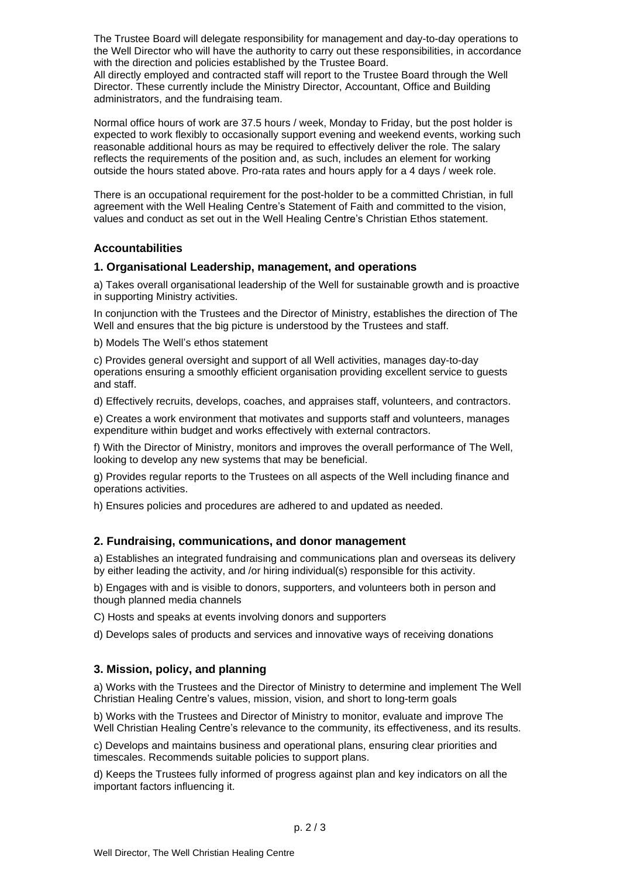The Trustee Board will delegate responsibility for management and day-to-day operations to the Well Director who will have the authority to carry out these responsibilities, in accordance with the direction and policies established by the Trustee Board.

All directly employed and contracted staff will report to the Trustee Board through the Well Director. These currently include the Ministry Director, Accountant, Office and Building administrators, and the fundraising team.

Normal office hours of work are 37.5 hours / week, Monday to Friday, but the post holder is expected to work flexibly to occasionally support evening and weekend events, working such reasonable additional hours as may be required to effectively deliver the role. The salary reflects the requirements of the position and, as such, includes an element for working outside the hours stated above. Pro-rata rates and hours apply for a 4 days / week role.

There is an occupational requirement for the post-holder to be a committed Christian, in full agreement with the Well Healing Centre's Statement of Faith and committed to the vision, values and conduct as set out in the Well Healing Centre's Christian Ethos statement.

#### **Accountabilities**

#### **1. Organisational Leadership, management, and operations**

a) Takes overall organisational leadership of the Well for sustainable growth and is proactive in supporting Ministry activities.

In conjunction with the Trustees and the Director of Ministry, establishes the direction of The Well and ensures that the big picture is understood by the Trustees and staff.

b) Models The Well's ethos statement

c) Provides general oversight and support of all Well activities, manages day-to-day operations ensuring a smoothly efficient organisation providing excellent service to guests and staff.

d) Effectively recruits, develops, coaches, and appraises staff, volunteers, and contractors.

e) Creates a work environment that motivates and supports staff and volunteers, manages expenditure within budget and works effectively with external contractors.

f) With the Director of Ministry, monitors and improves the overall performance of The Well, looking to develop any new systems that may be beneficial.

g) Provides regular reports to the Trustees on all aspects of the Well including finance and operations activities.

h) Ensures policies and procedures are adhered to and updated as needed.

#### **2. Fundraising, communications, and donor management**

a) Establishes an integrated fundraising and communications plan and overseas its delivery by either leading the activity, and /or hiring individual(s) responsible for this activity.

b) Engages with and is visible to donors, supporters, and volunteers both in person and though planned media channels

C) Hosts and speaks at events involving donors and supporters

d) Develops sales of products and services and innovative ways of receiving donations

## **3. Mission, policy, and planning**

a) Works with the Trustees and the Director of Ministry to determine and implement The Well Christian Healing Centre's values, mission, vision, and short to long-term goals

b) Works with the Trustees and Director of Ministry to monitor, evaluate and improve The Well Christian Healing Centre's relevance to the community, its effectiveness, and its results.

c) Develops and maintains business and operational plans, ensuring clear priorities and timescales. Recommends suitable policies to support plans.

d) Keeps the Trustees fully informed of progress against plan and key indicators on all the important factors influencing it.